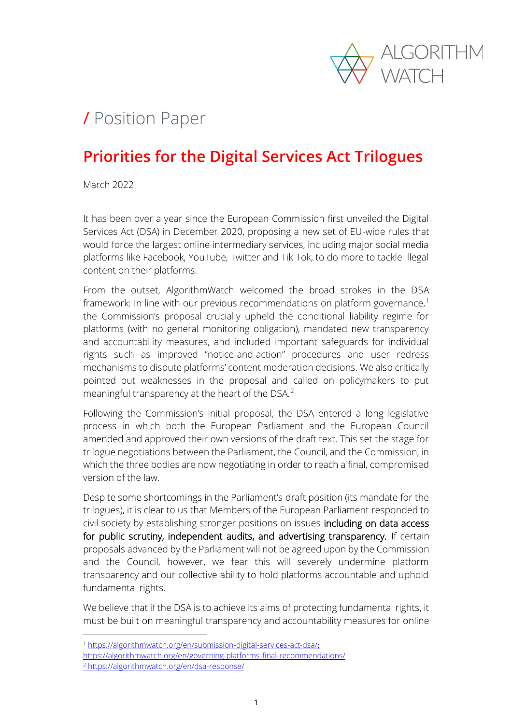

# / Position Paper

#### **Priorities for the Digital Services Act Trilogues**

March 2022

It has been over a year since the European Commission first unveiled the Digital Services Act (DSA) in December 2020, proposing a new set of EU-wide rules that would force the largest online intermediary services, including major social media platforms like Facebook, YouTube, Twitter and Tik Tok, to do more to tackle illegal content on their platforms.

From the outset, AlgorithmWatch welcomed the broad strokes in the DSA framework: In line with our previous recommendations on platform governance,<sup>1</sup> the Commission's proposal crucially upheld the conditional liability regime for platforms (with no general monitoring obligation), mandated new transparency and accountability measures, and included important safeguards for individual rights such as improved "notice-and-action" procedures and user redress mechanisms to dispute platforms' content moderation decisions. We also critically pointed out weaknesses in the proposal and called on policymakers to put meaningful transparency at the heart of the DSA.<sup>2</sup>

Following the Commission's initial proposal, the DSA entered a long legislative process in which both the European Parliament and the European Council amended and approved their own versions of the draft text. This set the stage for trilogue negotiations between the Parliament, the Council, and the Commission, in which the three bodies are now negotiating in order to reach a final, compromised version of the law.

Despite some shortcomings in the Parliament's draft position (its mandate for the trilogues), it is clear to us that Members of the European Parliament responded to civil society by establishing stronger positions on issues including on data access for public scrutiny, independent audits, and advertising transparency. If certain proposals advanced by the Parliament will not be agreed upon by the Commission and the Council, however, we fear this will severely undermine platform transparency and our collective ability to hold platforms accountable and uphold fundamental rights.

We believe that if the DSA is to achieve its aims of protecting fundamental rights, it must be built on meaningful transparency and accountability measures for online

<sup>1</sup> <https://algorithmwatch.org/en/submission-digital-services-act-dsa/>;

<https://algorithmwatch.org/en/governing-platforms-final-recommendations/> <sup>2</sup> <https://algorithmwatch.org/en/dsa-response/>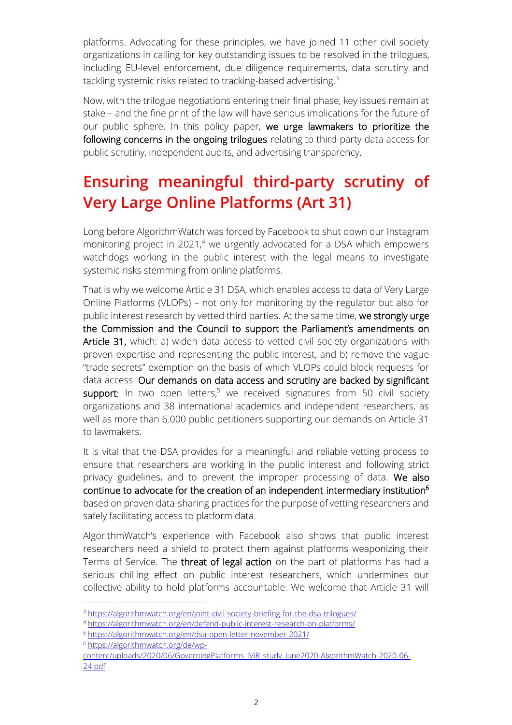platforms. Advocating for these principles, we have joined 11 other civil society organizations in calling for key outstanding issues to be resolved in the trilogues, including EU-level enforcement, due diligence requirements, data scrutiny and tackling systemic risks related to tracking-based advertising.<sup>3</sup>

Now, with the trilogue negotiations entering their final phase, key issues remain at stake – and the fine print of the law will have serious implications for the future of our public sphere. In this policy paper, we urge lawmakers to prioritize the following concerns in the ongoing trilogues relating to third-party data access for public scrutiny, independent audits, and advertising transparency.

## **Ensuring meaningful third-party scrutiny of Very Large Online Platforms (Art 31)**

Long before AlgorithmWatch was forced by Facebook to shut down our Instagram monitoring project in  $2021<sup>4</sup>$  we urgently advocated for a DSA which empowers watchdogs working in the public interest with the legal means to investigate systemic risks stemming from online platforms.

That is why we welcome Article 31 DSA, which enables access to data of Very Large Online Platforms (VLOPs) – not only for monitoring by the regulator but also for public interest research by vetted third parties. At the same time, we strongly urge the Commission and the Council to support the Parliament's amendments on Article 31, which: a) widen data access to vetted civil society organizations with proven expertise and representing the public interest, and b) remove the vague "trade secrets" exemption on the basis of which VLOPs could block requests for data access. Our demands on data access and scrutiny are backed by significant support: In two open letters, $5$  we received signatures from 50 civil society organizations and 38 international academics and independent researchers, as well as more than 6.000 public petitioners supporting our demands on Article 31 to lawmakers.

It is vital that the DSA provides for a meaningful and reliable vetting process to ensure that researchers are working in the public interest and following strict privacy guidelines, and to prevent the improper processing of data. We also continue to advocate for the creation of an independent intermediary institution<sup>6</sup> based on proven data-sharing practices for the purpose of vetting researchers and safely facilitating access to platform data.

AlgorithmWatch's experience with Facebook also shows that public interest researchers need a shield to protect them against platforms weaponizing their Terms of Service. The threat of legal action on the part of platforms has had a serious chilling effect on public interest researchers, which undermines our collective ability to hold platforms accountable. We welcome that Article 31 will

<sup>6</sup> [https://algorithmwatch.org/de/wp-](https://algorithmwatch.org/de/wp-content/uploads/2020/06/GoverningPlatforms_IViR_study_June2020-AlgorithmWatch-2020-06-24.pdf)

<sup>3</sup> <https://algorithmwatch.org/en/joint-civil-society-briefing-for-the-dsa-trilogues/>

<sup>4</sup> <https://algorithmwatch.org/en/defend-public-interest-research-on-platforms/>

<sup>5</sup> <https://algorithmwatch.org/en/dsa-open-letter-november-2021/>

[content/uploads/2020/06/GoverningPlatforms\\_IViR\\_study\\_June2020-AlgorithmWatch-2020-06-](https://algorithmwatch.org/de/wp-content/uploads/2020/06/GoverningPlatforms_IViR_study_June2020-AlgorithmWatch-2020-06-24.pdf) [24.pdf](https://algorithmwatch.org/de/wp-content/uploads/2020/06/GoverningPlatforms_IViR_study_June2020-AlgorithmWatch-2020-06-24.pdf)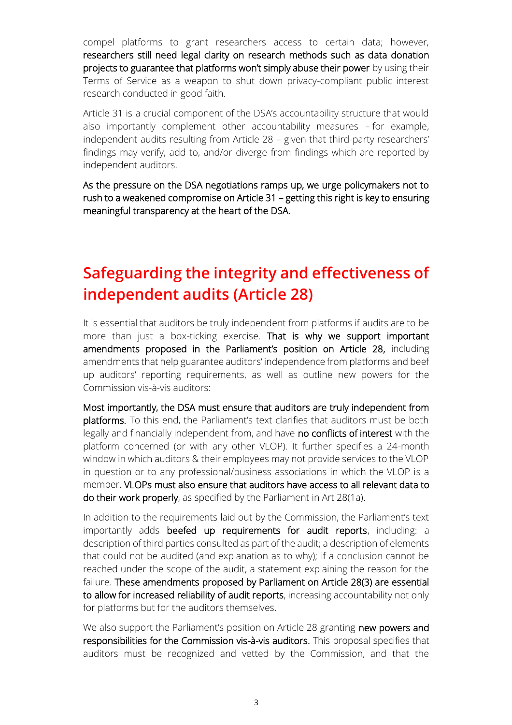compel platforms to grant researchers access to certain data; however, researchers still need legal clarity on research methods such as data donation projects to guarantee that platforms won't simply abuse their power by using their Terms of Service as a weapon to shut down privacy-compliant public interest research conducted in good faith.

Article 31 is a crucial component of the DSA's accountability structure that would also importantly complement other accountability measures – for example, independent audits resulting from Article 28 – given that third-party researchers' findings may verify, add to, and/or diverge from findings which are reported by independent auditors.

As the pressure on the DSA negotiations ramps up, we urge policymakers not to rush to a weakened compromise on Article 31 – getting this right is key to ensuring meaningful transparency at the heart of the DSA.

#### **Safeguarding the integrity and effectiveness of independent audits (Article 28)**

It is essential that auditors be truly independent from platforms if audits are to be more than just a box-ticking exercise. That is why we support important amendments proposed in the Parliament's position on Article 28, including amendments that help guarantee auditors' independence from platforms and beef up auditors' reporting requirements, as well as outline new powers for the Commission vis-à-vis auditors:

Most importantly, the DSA must ensure that auditors are truly independent from platforms. To this end, the Parliament's text clarifies that auditors must be both legally and financially independent from, and have no conflicts of interest with the platform concerned (or with any other VLOP). It further specifies a 24-month window in which auditors & their employees may not provide services to the VLOP in question or to any professional/business associations in which the VLOP is a member. VLOPs must also ensure that auditors have access to all relevant data to do their work properly, as specified by the Parliament in Art 28(1a).

In addition to the requirements laid out by the Commission, the Parliament's text importantly adds beefed up requirements for audit reports, including: a description of third parties consulted as part of the audit; a description of elements that could not be audited (and explanation as to why); if a conclusion cannot be reached under the scope of the audit, a statement explaining the reason for the failure. These amendments proposed by Parliament on Article 28(3) are essential to allow for increased reliability of audit reports, increasing accountability not only for platforms but for the auditors themselves.

We also support the Parliament's position on Article 28 granting new powers and responsibilities for the Commission vis-à-vis auditors. This proposal specifies that auditors must be recognized and vetted by the Commission, and that the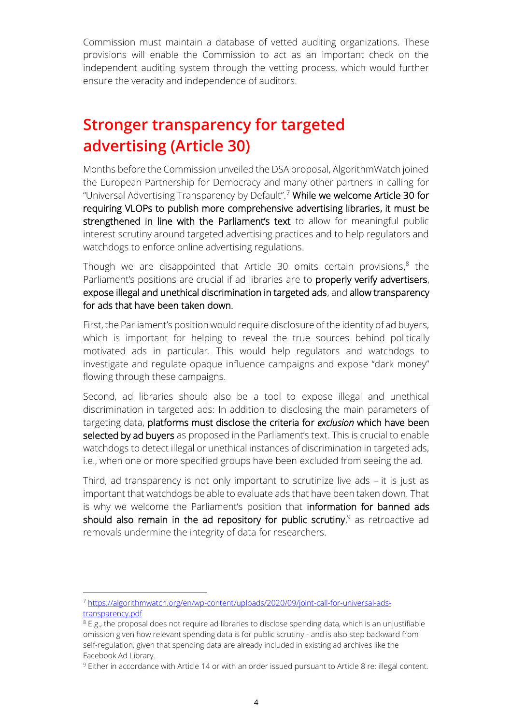Commission must maintain a database of vetted auditing organizations. These provisions will enable the Commission to act as an important check on the independent auditing system through the vetting process, which would further ensure the veracity and independence of auditors.

### **Stronger transparency for targeted advertising (Article 30)**

Months before the Commission unveiled the DSA proposal, AlgorithmWatch joined the European Partnership for Democracy and many other partners in calling for "Universal Advertising Transparency by Default".<sup>7</sup> While we welcome Article 30 for requiring VLOPs to publish more comprehensive advertising libraries, it must be strengthened in line with the Parliament's text to allow for meaningful public interest scrutiny around targeted advertising practices and to help regulators and watchdogs to enforce online advertising regulations.

Though we are disappointed that Article 30 omits certain provisions, $8$  the Parliament's positions are crucial if ad libraries are to properly verify advertisers, expose illegal and unethical discrimination in targeted ads, and allow transparency for ads that have been taken down.

First, the Parliament's position would require disclosure of the identity of ad buyers, which is important for helping to reveal the true sources behind politically motivated ads in particular. This would help regulators and watchdogs to investigate and regulate opaque influence campaigns and expose "dark money" flowing through these campaigns.

Second, ad libraries should also be a tool to expose illegal and unethical discrimination in targeted ads: In addition to disclosing the main parameters of targeting data, platforms must disclose the criteria for *exclusion* which have been selected by ad buyers as proposed in the Parliament's text. This is crucial to enable watchdogs to detect illegal or unethical instances of discrimination in targeted ads, i.e., when one or more specified groups have been excluded from seeing the ad.

Third, ad transparency is not only important to scrutinize live ads – it is just as important that watchdogs be able to evaluate ads that have been taken down. That is why we welcome the Parliament's position that information for banned ads should also remain in the ad repository for public scrutiny, $9$  as retroactive ad removals undermine the integrity of data for researchers.

<sup>7</sup> [https://algorithmwatch.org/en/wp-content/uploads/2020/09/joint-call-for-universal-ads](https://algorithmwatch.org/en/wp-content/uploads/2020/09/joint-call-for-universal-ads-transparency.pdf)[transparency.pdf](https://algorithmwatch.org/en/wp-content/uploads/2020/09/joint-call-for-universal-ads-transparency.pdf)

 $8$  E.g., the proposal does not require ad libraries to disclose spending data, which is an unjustifiable omission given how relevant spending data is for public scrutiny - and is also step backward from self-regulation, given that spending data are already included in existing ad archives like the Facebook Ad Library.

<sup>9</sup> Either in accordance with Article 14 or with an order issued pursuant to Article 8 re: illegal content.